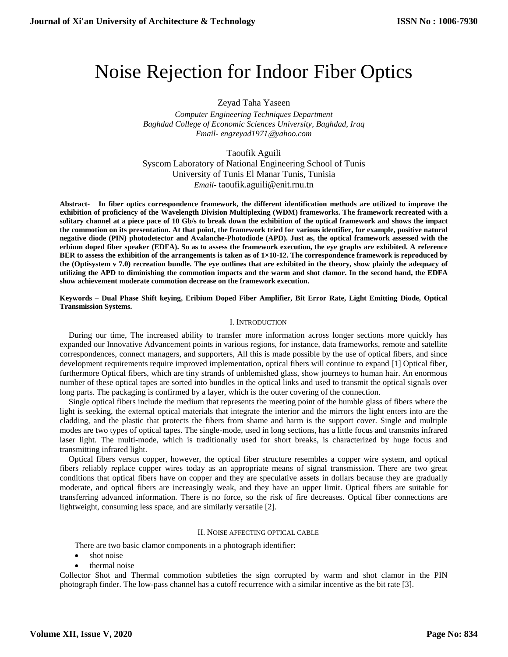# Noise Rejection for Indoor Fiber Optics

## Zeyad Taha Yaseen

*Computer Engineering Techniques Department Baghdad College of Economic Sciences University, Baghdad, Iraq [Email-](mailto:Email-%20%20%20anuradhamit@gmail.com) [engzeyad1971](mailto:Engzeyad1971@Yahoo.com1)*@*yahoo.com*

Taoufik Aguili Syscom Laboratory of National Engineering School of Tunis University of Tunis El Manar Tunis, Tunisia *Email-* [taoufik.aguili@enit.rnu.tn](mailto:Email-%20%20%20anuradhamit@gmail.com)

**Abstract- In fiber optics correspondence framework, the different identification methods are utilized to improve the exhibition of proficiency of the Wavelength Division Multiplexing (WDM) frameworks. The framework recreated with a solitary channel at a piece pace of 10 Gb/s to break down the exhibition of the optical framework and shows the impact the commotion on its presentation. At that point, the framework tried for various identifier, for example, positive natural negative diode (PIN) photodetector and Avalanche-Photodiode (APD). Just as, the optical framework assessed with the erbium doped fiber speaker (EDFA). So as to assess the framework execution, the eye graphs are exhibited. A reference BER to assess the exhibition of the arrangements is taken as of 1×10-12. The correspondence framework is reproduced by the (Optisystem v 7.0) recreation bundle. The eye outlines that are exhibited in the theory, show plainly the adequacy of utilizing the APD to diminishing the commotion impacts and the warm and shot clamor. In the second hand, the EDFA show achievement moderate commotion decrease on the framework execution.**

**Keywords – Dual Phase Shift keying, Eribium Doped Fiber Amplifier, Bit Error Rate, Light Emitting Diode, Optical Transmission Systems.**

#### I. INTRODUCTION

During our time, The increased ability to transfer more information across longer sections more quickly has expanded our Innovative Advancement points in various regions, for instance, data frameworks, remote and satellite correspondences, connect managers, and supporters, All this is made possible by the use of optical fibers, and since development requirements require improved implementation, optical fibers will continue to expand [1] Optical fiber, furthermore Optical fibers, which are tiny strands of unblemished glass, show journeys to human hair. An enormous number of these optical tapes are sorted into bundles in the optical links and used to transmit the optical signals over long parts. The packaging is confirmed by a layer, which is the outer covering of the connection.

Single optical fibers include the medium that represents the meeting point of the humble glass of fibers where the light is seeking, the external optical materials that integrate the interior and the mirrors the light enters into are the cladding, and the plastic that protects the fibers from shame and harm is the support cover. Single and multiple modes are two types of optical tapes. The single-mode, used in long sections, has a little focus and transmits infrared laser light. The multi-mode, which is traditionally used for short breaks, is characterized by huge focus and transmitting infrared light.

Optical fibers versus copper, however, the optical fiber structure resembles a copper wire system, and optical fibers reliably replace copper wires today as an appropriate means of signal transmission. There are two great conditions that optical fibers have on copper and they are speculative assets in dollars because they are gradually moderate, and optical fibers are increasingly weak, and they have an upper limit. Optical fibers are suitable for transferring advanced information. There is no force, so the risk of fire decreases. Optical fiber connections are lightweight, consuming less space, and are similarly versatile [2].

#### II. NOISE AFFECTING OPTICAL CABLE

There are two basic clamor components in a photograph identifier:

- shot noise
- thermal noise

Collector Shot and Thermal commotion subtleties the sign corrupted by warm and shot clamor in the PIN photograph finder. The low-pass channel has a cutoff recurrence with a similar incentive as the bit rate [3].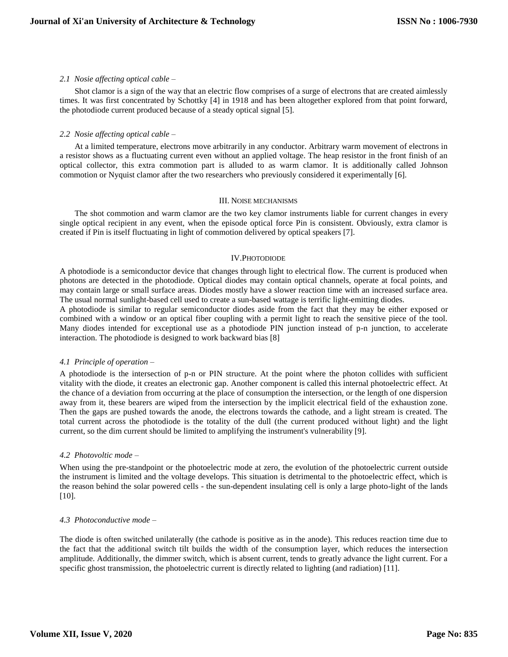#### *2.1 Nosie affecting optical cable –*

Shot clamor is a sign of the way that an electric flow comprises of a surge of electrons that are created aimlessly times. It was first concentrated by Schottky [4] in 1918 and has been altogether explored from that point forward, the photodiode current produced because of a steady optical signal [5].

#### *2.2 Nosie affecting optical cable –*

At a limited temperature, electrons move arbitrarily in any conductor. Arbitrary warm movement of electrons in a resistor shows as a fluctuating current even without an applied voltage. The heap resistor in the front finish of an optical collector, this extra commotion part is alluded to as warm clamor. It is additionally called Johnson commotion or Nyquist clamor after the two researchers who previously considered it experimentally [6].

#### III. NOISE MECHANISMS

The shot commotion and warm clamor are the two key clamor instruments liable for current changes in every single optical recipient in any event, when the episode optical force Pin is consistent. Obviously, extra clamor is created if Pin is itself fluctuating in light of commotion delivered by optical speakers [7].

## IV.PHOTODIODE

A photodiode is a semiconductor device that changes through light to electrical flow. The current is produced when photons are detected in the photodiode. Optical diodes may contain optical channels, operate at focal points, and may contain large or small surface areas. Diodes mostly have a slower reaction time with an increased surface area. The usual normal sunlight-based cell used to create a sun-based wattage is terrific light-emitting diodes.

A photodiode is similar to regular semiconductor diodes aside from the fact that they may be either exposed or combined with a window or an optical fiber coupling with a permit light to reach the sensitive piece of the tool. Many diodes intended for exceptional use as a photodiode PIN junction instead of p-n junction, to accelerate interaction. The photodiode is designed to work backward bias [8]

## *4.1 Principle of operation –*

A photodiode is the intersection of p-n or PIN structure. At the point where the photon collides with sufficient vitality with the diode, it creates an electronic gap. Another component is called this internal photoelectric effect. At the chance of a deviation from occurring at the place of consumption the intersection, or the length of one dispersion away from it, these bearers are wiped from the intersection by the implicit electrical field of the exhaustion zone. Then the gaps are pushed towards the anode, the electrons towards the cathode, and a light stream is created. The total current across the photodiode is the totality of the dull (the current produced without light) and the light current, so the dim current should be limited to amplifying the instrument's vulnerability [9].

## *4.2 Photovoltic mode –*

When using the pre-standpoint or the photoelectric mode at zero, the evolution of the photoelectric current outside the instrument is limited and the voltage develops. This situation is detrimental to the photoelectric effect, which is the reason behind the solar powered cells - the sun-dependent insulating cell is only a large photo-light of the lands [10].

## *4.3 Photoconductive mode –*

The diode is often switched unilaterally (the cathode is positive as in the anode). This reduces reaction time due to the fact that the additional switch tilt builds the width of the consumption layer, which reduces the intersection amplitude. Additionally, the dimmer switch, which is absent current, tends to greatly advance the light current. For a specific ghost transmission, the photoelectric current is directly related to lighting (and radiation) [11].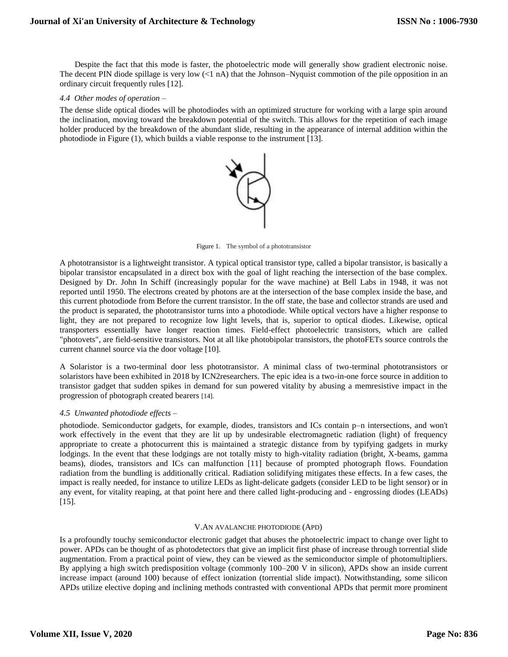Despite the fact that this mode is faster, the photoelectric mode will generally show gradient electronic noise. The decent PIN diode spillage is very low  $(<1$  nA) that the Johnson–Nyquist commotion of the pile opposition in an ordinary circuit frequently rules [12].

#### *4.4 Other modes of operation –*

The dense slide optical diodes will be photodiodes with an optimized structure for working with a large spin around the inclination, moving toward the breakdown potential of the switch. This allows for the repetition of each image holder produced by the breakdown of the abundant slide, resulting in the appearance of internal addition within the photodiode in Figure (1), which builds a viable response to the instrument [13].



Figure 1. The symbol of a phototransistor

A phototransistor is a lightweight transistor. A typical optical transistor type, called a bipolar transistor, is basically a bipolar transistor encapsulated in a direct box with the goal of light reaching the intersection of the base complex. Designed by Dr. John In Schiff (increasingly popular for the wave machine) at Bell Labs in 1948, it was not reported until 1950. The electrons created by photons are at the intersection of the base complex inside the base, and this current photodiode from Before the current transistor. In the off state, the base and collector strands are used and the product is separated, the phototransistor turns into a photodiode. While optical vectors have a higher response to light, they are not prepared to recognize low light levels, that is, superior to optical diodes. Likewise, optical transporters essentially have longer reaction times. Field-effect photoelectric transistors, which are called "photovets", are field-sensitive transistors. Not at all like photobipolar transistors, the photoFETs source controls the current channel source via the door voltage [10].

A Solaristor is a two-terminal door less phototransistor. A minimal class of two-terminal phototransistors or solaristors have been exhibited in 2018 by ICN2researchers. The epic idea is a two-in-one force source in addition to transistor gadget that sudden spikes in demand for sun powered vitality by abusing a memresistive impact in the progression of photograph created bearers [14].

## *4.5 Unwanted photodiode effects –*

photodiode. Semiconductor gadgets, for example, diodes, transistors and ICs contain p–n intersections, and won't work effectively in the event that they are lit up by undesirable electromagnetic radiation (light) of frequency appropriate to create a photocurrent this is maintained a strategic distance from by typifying gadgets in murky lodgings. In the event that these lodgings are not totally misty to high-vitality radiation (bright, X-beams, gamma beams), diodes, transistors and ICs can malfunction [11] because of prompted photograph flows. Foundation radiation from the bundling is additionally critical. Radiation solidifying mitigates these effects. In a few cases, the impact is really needed, for instance to utilize LEDs as light-delicate gadgets (consider LED to be light sensor) or in any event, for vitality reaping, at that point here and there called light-producing and - engrossing diodes (LEADs) [15].

## V.AN AVALANCHE PHOTODIODE (APD)

Is a profoundly touchy semiconductor electronic gadget that abuses the photoelectric impact to change over light to power. APDs can be thought of as photodetectors that give an implicit first phase of increase through torrential slide augmentation. From a practical point of view, they can be viewed as the semiconductor simple of photomultipliers. By applying a high switch predisposition voltage (commonly 100–200 V in silicon), APDs show an inside current increase impact (around 100) because of effect ionization (torrential slide impact). Notwithstanding, some silicon APDs utilize elective doping and inclining methods contrasted with conventional APDs that permit more prominent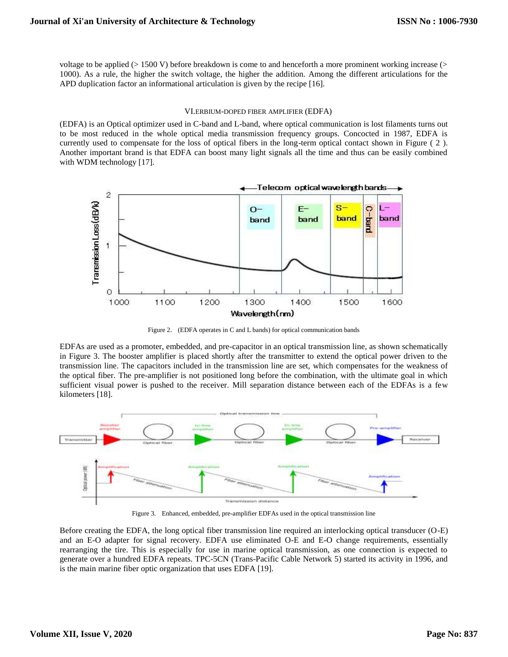voltage to be applied (> 1500 V) before breakdown is come to and henceforth a more prominent working increase (> 1000). As a rule, the higher the switch voltage, the higher the addition. Among the different articulations for the APD duplication factor an informational articulation is given by the recipe [16].

## VI.ERBIUM-DOPED FIBER AMPLIFIER (EDFA)

(EDFA) is an Optical optimizer used in C-band and L-band, where optical communication is lost filaments turns out to be most reduced in the whole optical media transmission frequency groups. Concocted in 1987, EDFA is currently used to compensate for the loss of optical fibers in the long-term optical contact shown in Figure ( 2 ). Another important brand is that EDFA can boost many light signals all the time and thus can be easily combined with WDM technology [17].



Figure 2. (EDFA operates in C and L bands) for optical communication bands

EDFAs are used as a promoter, embedded, and pre-capacitor in an optical transmission line, as shown schematically in Figure 3. The booster amplifier is placed shortly after the transmitter to extend the optical power driven to the transmission line. The capacitors included in the transmission line are set, which compensates for the weakness of the optical fiber. The pre-amplifier is not positioned long before the combination, with the ultimate goal in which sufficient visual power is pushed to the receiver. Mill separation distance between each of the EDFAs is a few kilometers [18].



Figure 3. Enhanced, embedded, pre-amplifier EDFAs used in the optical transmission line

Before creating the EDFA, the long optical fiber transmission line required an interlocking optical transducer (O-E) and an E-O adapter for signal recovery. EDFA use eliminated O-E and E-O change requirements, essentially rearranging the tire. This is especially for use in marine optical transmission, as one connection is expected to generate over a hundred EDFA repeats. TPC-5CN (Trans-Pacific Cable Network 5) started its activity in 1996, and is the main marine fiber optic organization that uses EDFA [19].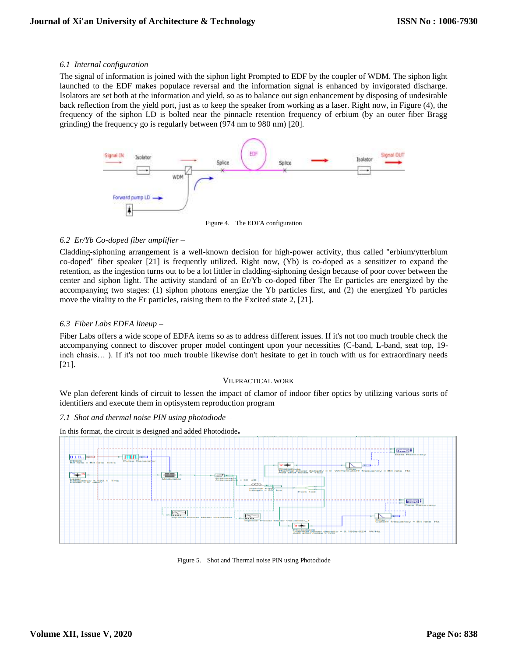## *6.1 Internal configuration –*

The signal of information is joined with the siphon light Prompted to EDF by the coupler of WDM. The siphon light launched to the EDF makes populace reversal and the information signal is enhanced by invigorated discharge. Isolators are set both at the information and yield, so as to balance out sign enhancement by disposing of undesirable back reflection from the yield port, just as to keep the speaker from working as a laser. Right now, in Figure (4), the frequency of the siphon LD is bolted near the pinnacle retention frequency of erbium (by an outer fiber Bragg grinding) the frequency go is regularly between (974 nm to 980 nm) [20].



Figure 4. The EDFA configuration

# *6.2 Er/Yb Co-doped fiber amplifier –*

Cladding-siphoning arrangement is a well-known decision for high-power activity, thus called "erbium/ytterbium co-doped" fiber speaker [21] is frequently utilized. Right now, (Yb) is co-doped as a sensitizer to expand the retention, as the ingestion turns out to be a lot littler in cladding-siphoning design because of poor cover between the center and siphon light. The activity standard of an Er/Yb co-doped fiber The Er particles are energized by the accompanying two stages: (1) siphon photons energize the Yb particles first, and (2) the energized Yb particles move the vitality to the Er particles, raising them to the Excited state 2, [21].

# *6.3 Fiber Labs EDFA lineup –*

Fiber Labs offers a wide scope of EDFA items so as to address different issues. If it's not too much trouble check the accompanying connect to discover proper model contingent upon your necessities (C-band, L-band, seat top, 19 inch chasis… ). If it's not too much trouble likewise don't hesitate to get in touch with us for extraordinary needs [21].

## VII.PRACTICAL WORK

We plan deferent kinds of circuit to lessen the impact of clamor of indoor fiber optics by utilizing various sorts of identifiers and execute them in optisystem reproduction program

## *7.1 Shot and thermal noise PIN using photodiode –*



In this format, the circuit is designed and added Photodiode**.**

Figure 5. Shot and Thermal noise PIN using Photodiode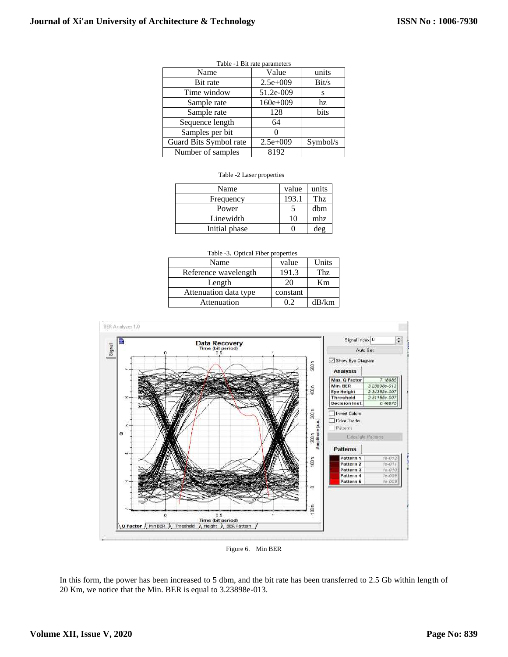|                        | Table -1 Bit rate parameters |          |
|------------------------|------------------------------|----------|
| Name                   | Value                        | units    |
| Bit rate               | $2.5e+009$                   | Bit/s    |
| Time window            | 51.2e-009                    | S        |
| Sample rate            | $160e+009$                   | hz.      |
| Sample rate            | 128                          | bits     |
| Sequence length        | 64                           |          |
| Samples per bit        |                              |          |
| Guard Bits Symbol rate | $2.5e+009$                   | Symbol/s |
| Number of samples      | 8192                         |          |

| Name          | value | units |
|---------------|-------|-------|
| Frequency     | 193.1 | Thz   |
| Power         |       | dbm   |
| Linewidth     | 10    | mhz   |
| Initial phase |       | deg   |

| Table -3. Optical Fiber properties |          |       |  |
|------------------------------------|----------|-------|--|
| Name                               | value    | Units |  |
| Reference wavelength               | 191.3    | Thz   |  |
| Length                             | 20       | Km    |  |
| Attenuation data type              | constant |       |  |
| Attenuation                        | 0.2      | dB/km |  |



Figure 6. Min BER

In this form, the power has been increased to 5 dbm, and the bit rate has been transferred to 2.5 Gb within length of 20 Km, we notice that the Min. BER is equal to 3.23898e-013.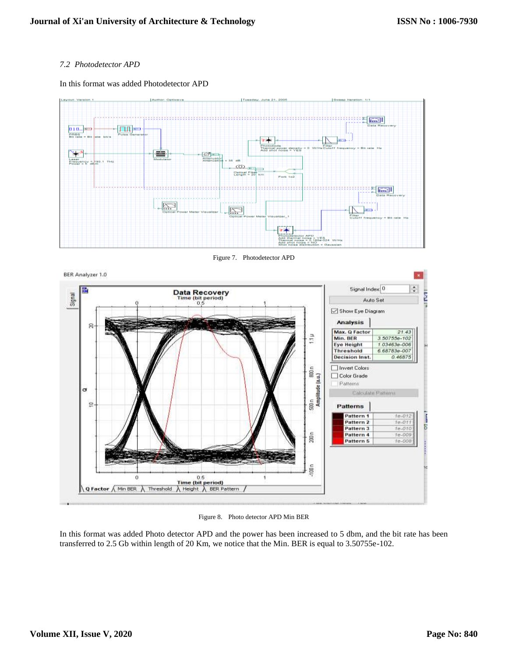# *7.2 Photodetector APD*

In this format was added Photodetector APD



Figure 7. Photodetector APD



Figure 8. Photo detector APD Min BER

In this format was added Photo detector APD and the power has been increased to 5 dbm, and the bit rate has been transferred to 2.5 Gb within length of 20 Km, we notice that the Min. BER is equal to 3.50755e-102.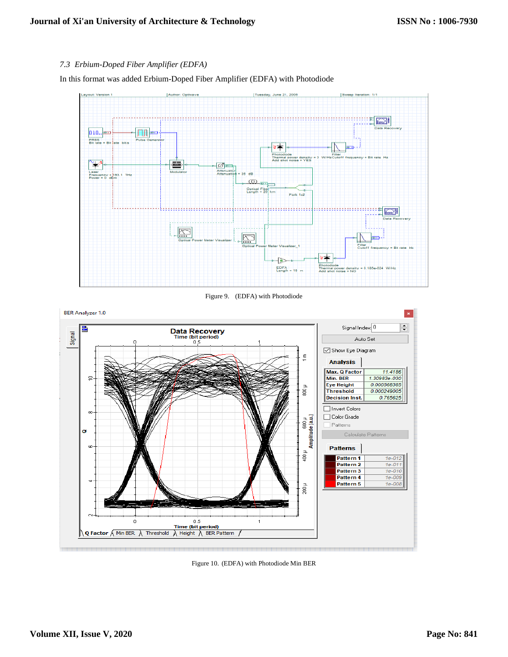# *7.3 Erbium-Doped Fiber Amplifier (EDFA)*

In this format was added Erbium-Doped Fiber Amplifier (EDFA) with Photodiode



Figure 10. (EDFA) with Photodiode Min BER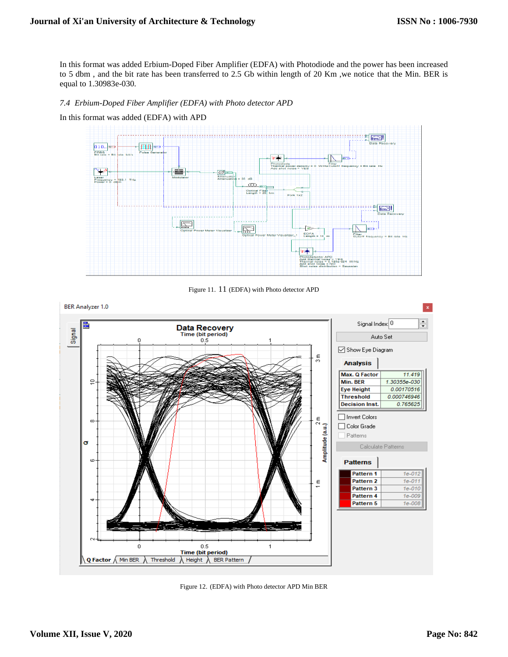In this format was added Erbium-Doped Fiber Amplifier (EDFA) with Photodiode and the power has been increased to 5 dbm , and the bit rate has been transferred to 2.5 Gb within length of 20 Km ,we notice that the Min. BER is equal to 1.30983e-030.

*7.4 Erbium-Doped Fiber Amplifier (EDFA) with Photo detector APD*





Figure 11. 11 (EDFA) with Photo detector APD



Figure 12. (EDFA) with Photo detector APD Min BER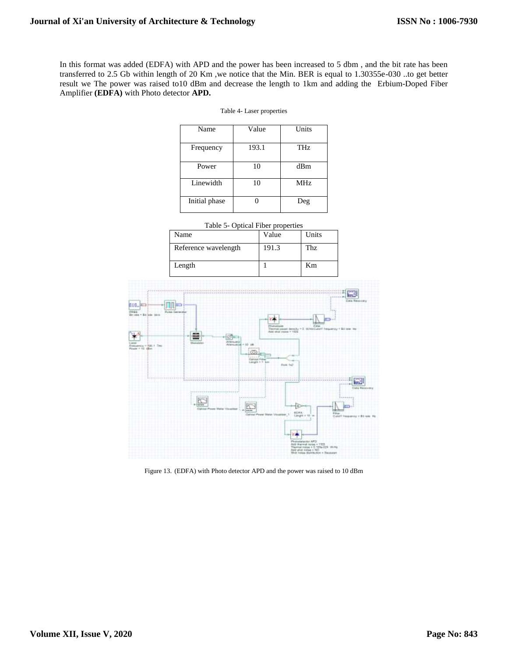In this format was added (EDFA) with APD and the power has been increased to 5 dbm , and the bit rate has been transferred to 2.5 Gb within length of 20 Km ,we notice that the Min. BER is equal to 1.30355e-030 ..to get better result we The power was raised to10 dBm and decrease the length to 1km and adding the Erbium-Doped Fiber Amplifier **(EDFA)** with Photo detector **APD.**

Table 4- Laser properties

| Name          | Value | Units      |
|---------------|-------|------------|
| Frequency     | 193.1 | THz        |
| Power         | 10    | dBm        |
| Linewidth     | 10    | <b>MHz</b> |
| Initial phase |       | Deg        |

|                      | Table 5- Optical Fiber properties |       |
|----------------------|-----------------------------------|-------|
| Name                 | Value                             | Units |
| Reference wavelength | 191.3                             | Thz   |
| Length               |                                   | Km    |



Figure 13. (EDFA) with Photo detector APD and the power was raised to 10 dBm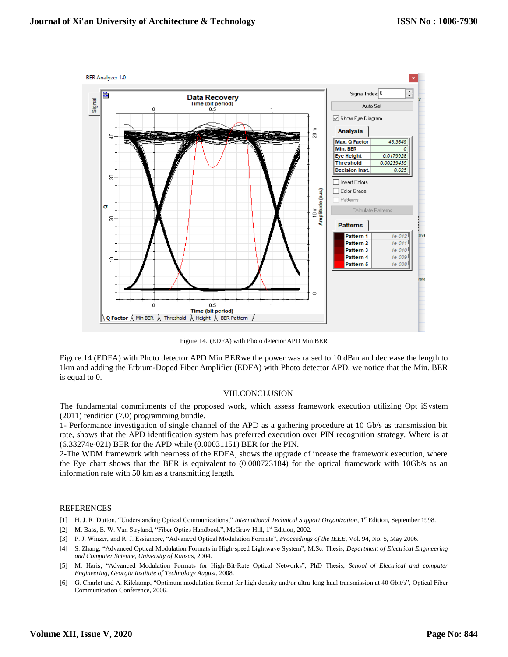

Figure 14. (EDFA) with Photo detector APD Min BER

Figure.14 (EDFA) with Photo detector APD Min BERwe the power was raised to 10 dBm and decrease the length to 1km and adding the Erbium-Doped Fiber Amplifier (EDFA) with Photo detector APD, we notice that the Min. BER is equal to 0.

#### VIII.CONCLUSION

The fundamental commitments of the proposed work, which assess framework execution utilizing Opt iSystem (2011) rendition (7.0) programming bundle.

1- Performance investigation of single channel of the APD as a gathering procedure at 10 Gb/s as transmission bit rate, shows that the APD identification system has preferred execution over PIN recognition strategy. Where is at (6.33274e-021) BER for the APD while (0.00031151) BER for the PIN.

2-The WDM framework with nearness of the EDFA, shows the upgrade of incease the framework execution, where the Eye chart shows that the BER is equivalent to (0.000723184) for the optical framework with 10Gb/s as an information rate with 50 km as a transmitting length.

#### **REFERENCES**

- [1] H. J. R. Dutton, "Understanding Optical Communications," *International Technical Support Organization*, 1<sup>st</sup> Edition, September 1998.
- [2] M. Bass, E. W. Van Stryland, "Fiber Optics Handbook", McGraw-Hill, 1st Edition, 2002.
- [3] P. J. Winzer, and R. J. Essiambre, "Advanced Optical Modulation Formats", *Proceedings of the IEEE*, Vol. 94, No. 5, May 2006.
- [4] S. Zhang, "Advanced Optical Modulation Formats in High-speed Lightwave System", M.Sc. Thesis, *Department of Electrical Engineering and Computer Science, University of Kansa*s, 2004.
- [5] M. Haris, "Advanced Modulation Formats for High-Bit-Rate Optical Networks", PhD Thesis, *School of Electrical and computer Engineering, Georgia Institute of Technology August*, 2008.
- [6] G. Charlet and A. Kilekamp, "Optimum modulation format for high density and/or ultra-long-haul transmission at 40 Gbit/s", Optical Fiber Communication Conference, 2006.